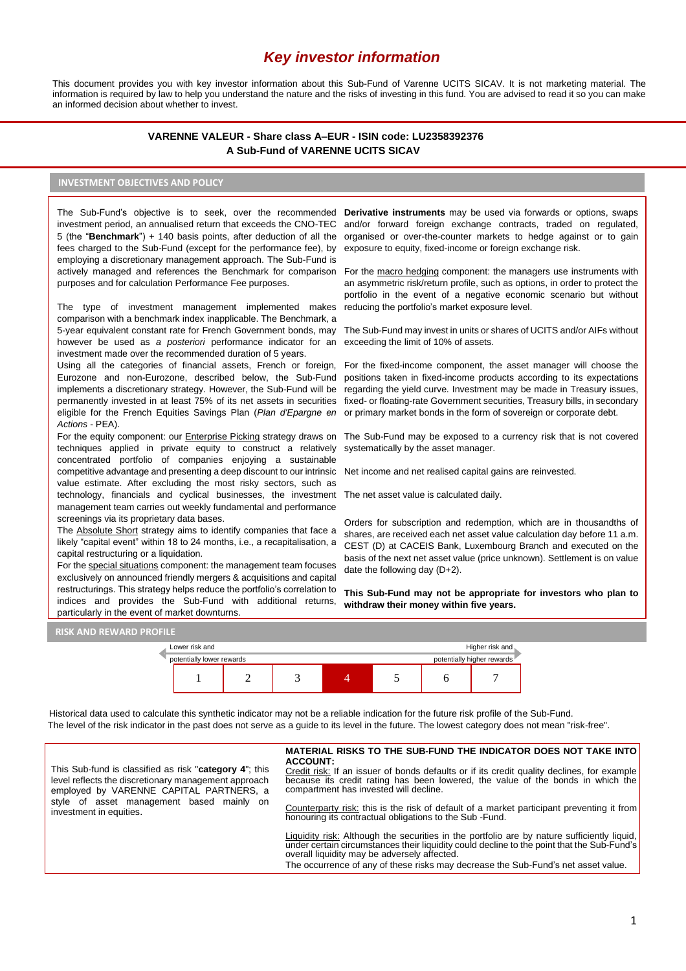# *Key investor information*

This document provides you with key investor information about this Sub-Fund of Varenne UCITS SICAV. It is not marketing material. The information is required by law to help you understand the nature and the risks of investing in this fund. You are advised to read it so you can make an informed decision about whether to invest.

## **VARENNE VALEUR - Share class A–EUR - ISIN code: LU2358392376 A Sub-Fund of VARENNE UCITS SICAV**

## **INVESTMENT OBJECTIVES AND POLICY**

fees charged to the Sub-Fund (except for the performance fee), by employing a discretionary management approach. The Sub-Fund is actively managed and references the Benchmark for comparison purposes and for calculation Performance Fee purposes.

The type of investment management implemented makes comparison with a benchmark index inapplicable. The Benchmark, a 5-year equivalent constant rate for French Government bonds, may however be used as *a posteriori* performance indicator for an investment made over the recommended duration of 5 years.

Using all the categories of financial assets, French or foreign, Eurozone and non-Eurozone, described below, the Sub-Fund implements a discretionary strategy. However, the Sub-Fund will be permanently invested in at least 75% of its net assets in securities eligible for the French Equities Savings Plan (*Plan d'Epargne en Actions* - PEA).

techniques applied in private equity to construct a relatively concentrated portfolio of companies enjoying a sustainable competitive advantage and presenting a deep discount to our intrinsic value estimate. After excluding the most risky sectors, such as technology, financials and cyclical businesses, the investment The net asset value is calculated daily. management team carries out weekly fundamental and performance screenings via its proprietary data bases.

The Absolute Short strategy aims to identify companies that face a likely "capital event" within 18 to 24 months, i.e., a recapitalisation, a capital restructuring or a liquidation.

For the special situations component: the management team focuses exclusively on announced friendly mergers & acquisitions and capital restructurings. This strategy helps reduce the portfolio's correlation to indices and provides the Sub-Fund with additional returns, particularly in the event of market downturns.

The Sub-Fund's objective is to seek, over the recommended Der**ivative instruments** may be used via forwards or options, swaps investment period, an annualised return that exceeds the CNO-TEC and/or forward foreign exchange contracts, traded on regulated, 5 (the "**Benchmark**") + 140 basis points, after deduction of all the organised or over-the-counter markets to hedge against or to gain exposure to equity, fixed-income or foreign exchange risk.

> For the macro hedging component: the managers use instruments with an asymmetric risk/return profile, such as options, in order to protect the portfolio in the event of a negative economic scenario but without reducing the portfolio's market exposure level.

> The Sub-Fund may invest in units or shares of UCITS and/or AIFs without exceeding the limit of 10% of assets.

> For the fixed-income component, the asset manager will choose the positions taken in fixed-income products according to its expectations regarding the yield curve. Investment may be made in Treasury issues, fixed- or floating-rate Government securities, Treasury bills, in secondary or primary market bonds in the form of sovereign or corporate debt.

For the equity component: our *Enterprise Picking* strategy draws on The Sub-Fund may be exposed to a currency risk that is not covered systematically by the asset manager.

Net income and net realised capital gains are reinvested.

Orders for subscription and redemption, which are in thousandths of shares, are received each net asset value calculation day before 11 a.m. CEST (D) at CACEIS Bank, Luxembourg Branch and executed on the basis of the next net asset value (price unknown). Settlement is on value date the following day (D+2).

**This Sub-Fund may not be appropriate for investors who plan to withdraw their money within five years.**





Historical data used to calculate this synthetic indicator may not be a reliable indication for the future risk profile of the Sub-Fund. The level of the risk indicator in the past does not serve as a guide to its level in the future. The lowest category does not mean "risk-free".

This Sub-fund is classified as risk "**category 4**"; this level reflects the discretionary management approach employed by VARENNE CAPITAL PARTNERS, a style of asset management based mainly on investment in equities.

#### **MATERIAL RISKS TO THE SUB-FUND THE INDICATOR DOES NOT TAKE INTO ACCOUNT:**

Credit risk: If an issuer of bonds defaults or if its credit quality declines, for example because its credit rating has been lowered, the value of the bonds in which the compartment has invested will decline.

Counterparty risk: this is the risk of default of a market participant preventing it from honouring its contractual obligations to the Sub -Fund.

Liquidity risk: Although the securities in the portfolio are by nature sufficiently liquid, under certain circumstances their liquidity could decline to the point that the Sub-Fund's overall liquidity may be adversely affected.

The occurrence of any of these risks may decrease the Sub-Fund's net asset value.